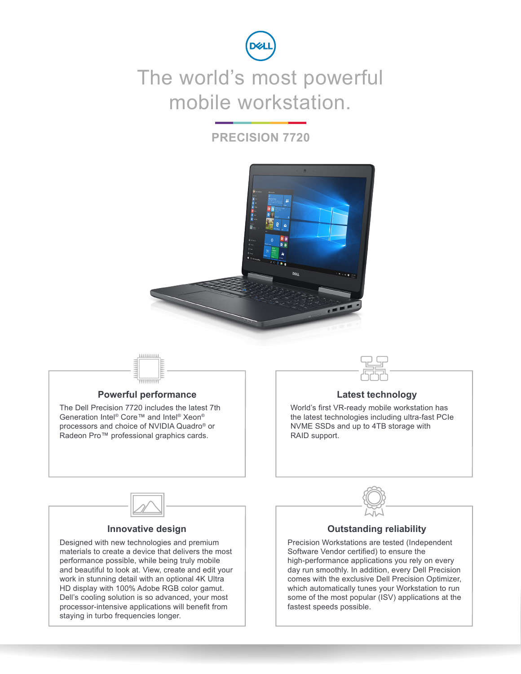

### The world's most powerful mobile workstation.

#### **PRECISION 7720**





materials to create a device that delivers the most performance possible, while being truly mobile and beautiful to look at. View, create and edit your work in stunning detail with an optional 4K Ultra HD display with 100% Adobe RGB color gamut. Dell's cooling solution is so advanced, your most processor-intensive applications will benefit from staying in turbo frequencies longer.

Software Vendor certified) to ensure the high-performance applications you rely on every day run smoothly. In addition, every Dell Precision comes with the exclusive Dell Precision Optimizer, which automatically tunes your Workstation to run some of the most popular (ISV) applications at the fastest speeds possible.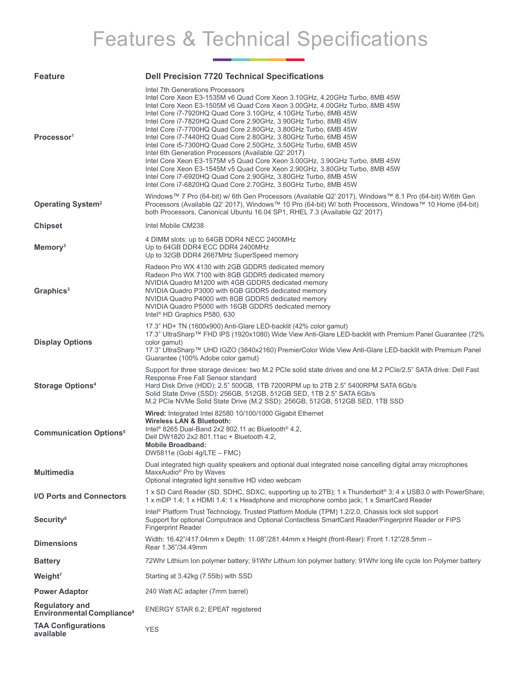# Features & Technical Specifications

| <b>Feature</b>                                                 | <b>Dell Precision 7720 Technical Specifications</b>                                                                                                                                                                                                                                                                                                                                                                                                                                                                                                                                                                                                                                                                                                                                                                                                                                            |
|----------------------------------------------------------------|------------------------------------------------------------------------------------------------------------------------------------------------------------------------------------------------------------------------------------------------------------------------------------------------------------------------------------------------------------------------------------------------------------------------------------------------------------------------------------------------------------------------------------------------------------------------------------------------------------------------------------------------------------------------------------------------------------------------------------------------------------------------------------------------------------------------------------------------------------------------------------------------|
| Processor <sup>1</sup>                                         | Intel 7th Generations Processors<br>Intel Core Xeon E3-1535M v6 Quad Core Xeon 3.10GHz, 4.20GHz Turbo, 8MB 45W<br>Intel Core Xeon E3-1505M v6 Quad Core Xeon 3.00GHz, 4.00GHz Turbo, 8MB 45W<br>Intel Core i7-7920HQ Quad Core 3.10GHz, 4.10GHz Turbo, 8MB 45W<br>Intel Core i7-7820HQ Quad Core 2.90GHz, 3.90GHz Turbo, 8MB 45W<br>Intel Core i7-7700HQ Quad Core 2.80GHz, 3.80GHz Turbo, 6MB 45W<br>Intel Core i7-7440HQ Quad Core 2.80GHz, 3.80GHz Turbo, 6MB 45W<br>Intel Core i5-7300HQ Quad Core 2.50GHz, 3.50GHz Turbo, 6MB 45W<br>Intel 6th Generation Processors (Available Q2' 2017)<br>Intel Core Xeon E3-1575M v5 Quad Core Xeon 3.00GHz, 3.90GHz Turbo, 8MB 45W<br>Intel Core Xeon E3-1545M v5 Quad Core Xeon 2.90GHz, 3.80GHz Turbo, 8MB 45W<br>Intel Core i7-6920HQ Quad Core 2.90GHz, 3.80GHz Turbo, 8MB 45W<br>Intel Core i7-6820HQ Quad Core 2.70GHz, 3.60GHz Turbo, 8MB 45W |
| <b>Operating System<sup>2</sup></b>                            | Windows™ 7 Pro (64-bit) w/ 6th Gen Processors (Available Q2' 2017), Windows™ 8.1 Pro (64-bit) W/6th Gen<br>Processors (Available Q2' 2017), Windows™ 10 Pro (64-bit) W/ both Processors, Windows™ 10 Home (64-bit)<br>both Processors, Canonical Ubuntu 16.04 SP1, RHEL 7.3 (Available Q2' 2017)                                                                                                                                                                                                                                                                                                                                                                                                                                                                                                                                                                                               |
| <b>Chipset</b>                                                 | Intel Mobile CM238                                                                                                                                                                                                                                                                                                                                                                                                                                                                                                                                                                                                                                                                                                                                                                                                                                                                             |
| Memory <sup>3</sup>                                            | 4 DIMM slots: up to 64GB DDR4 NECC 2400MHz<br>Up to 64GB DDR4 ECC DDR4 2400MHz<br>Up to 32GB DDR4 2667MHz SuperSpeed memory                                                                                                                                                                                                                                                                                                                                                                                                                                                                                                                                                                                                                                                                                                                                                                    |
| Graphics <sup>3</sup>                                          | Radeon Pro WX 4130 with 2GB GDDR5 dedicated memory<br>Radeon Pro WX 7100 with 8GB GDDR5 dedicated memory<br>NVIDIA Quadro M1200 with 4GB GDDR5 dedicated memory<br>NVIDIA Quadro P3000 with 6GB GDDR5 dedicated memory<br>NVIDIA Quadro P4000 with 8GB GDDR5 dedicated memory<br>NVIDIA Quadro P5000 with 16GB GDDR5 dedicated memory<br>Intel <sup>®</sup> HD Graphics P580, 630                                                                                                                                                                                                                                                                                                                                                                                                                                                                                                              |
| <b>Display Options</b>                                         | 17.3" HD+ TN (1600x900) Anti-Glare LED-backlit (42% color gamut)<br>17.3" UltraSharp™ FHD IPS (1920x1080) Wide View Anti-Glare LED-backlit with Premium Panel Guarantee (72%<br>color gamut)<br>17.3" UltraSharp™ UHD IGZO (3840x2160) PremierColor Wide View Anti-Glare LED-backlit with Premium Panel<br>Guarantee (100% Adobe color gamut)                                                                                                                                                                                                                                                                                                                                                                                                                                                                                                                                                  |
| <b>Storage Options4</b>                                        | Support for three storage devices: two M.2 PCIe solid state drives and one M.2 PCIe/2.5" SATA drive: Dell Fast<br>Response Free Fall Sensor standard<br>Hard Disk Drive (HDD): 2.5" 500GB, 1TB 7200RPM up to 2TB 2.5" 5400RPM SATA 6Gb/s<br>Solid State Drive (SSD): 256GB, 512GB, 512GB SED, 1TB 2.5" SATA 6Gb/s<br>M.2 PCIe NVMe Solid State Drive (M.2 SSD): 256GB, 512GB, 512GB SED, 1TB SSD                                                                                                                                                                                                                                                                                                                                                                                                                                                                                               |
| <b>Communication Options<sup>5</sup></b>                       | Wired: Integrated Intel 82580 10/100/1000 Gigabit Ethernet<br>Wireless LAN & Bluetooth:<br>Intel <sup>®</sup> 8265 Dual-Band 2x2 802.11 ac Bluetooth <sup>®</sup> 4.2,<br>Dell DW1820 2x2 801.11ac + Bluetooth 4.2,<br><b>Mobile Broadband:</b><br>DW5811e (Gobi 4g/LTE - FMC)                                                                                                                                                                                                                                                                                                                                                                                                                                                                                                                                                                                                                 |
| <b>Multimedia</b>                                              | Dual integrated high quality speakers and optional dual integrated noise cancelling digital array microphones<br>MaxxAudio <sup>®</sup> Pro by Waves<br>Optional integrated light sensitive HD video webcam                                                                                                                                                                                                                                                                                                                                                                                                                                                                                                                                                                                                                                                                                    |
| I/O Ports and Connectors                                       | 1 x SD Card Reader (SD, SDHC, SDXC, supporting up to 2TB); 1 x Thunderbolt <sup>®</sup> 3; 4 x USB3.0 with PowerShare;<br>1 x mDP 1.4; 1 x HDMI 1.4; 1 x Headphone and microphone combo jack; 1 x SmartCard Reader                                                                                                                                                                                                                                                                                                                                                                                                                                                                                                                                                                                                                                                                             |
| <b>Security<sup>6</sup></b>                                    | Intel® Platform Trust Technology, Trusted Platform Module (TPM) 1.2/2.0, Chassis lock slot support<br>Support for optional Computrace and Optional Contactless SmartCard Reader/Fingerprint Reader or FIPS<br><b>Fingerprint Reader</b>                                                                                                                                                                                                                                                                                                                                                                                                                                                                                                                                                                                                                                                        |
| <b>Dimensions</b>                                              | Width: 16.42"/417.04mm x Depth: 11.08"/281.44mm x Height (front-Rear): Front 1.12"/28.5mm -<br>Rear 1.36"/34.49mm                                                                                                                                                                                                                                                                                                                                                                                                                                                                                                                                                                                                                                                                                                                                                                              |
| <b>Battery</b>                                                 | 72Whr Lithium Ion polymer battery; 91Whr Lithium Ion polymer battery; 91Whr Iong life cycle Ion Polymer battery                                                                                                                                                                                                                                                                                                                                                                                                                                                                                                                                                                                                                                                                                                                                                                                |
| Weight <sup>7</sup>                                            | Starting at 3.42kg (7.55lb) with SSD                                                                                                                                                                                                                                                                                                                                                                                                                                                                                                                                                                                                                                                                                                                                                                                                                                                           |
| <b>Power Adaptor</b>                                           | 240 Watt AC adapter (7mm barrel)                                                                                                                                                                                                                                                                                                                                                                                                                                                                                                                                                                                                                                                                                                                                                                                                                                                               |
| <b>Regulatory and</b><br>Environmental Compliance <sup>8</sup> | ENERGY STAR 6.2; EPEAT registered                                                                                                                                                                                                                                                                                                                                                                                                                                                                                                                                                                                                                                                                                                                                                                                                                                                              |
| <b>TAA Configurations</b><br>available                         | <b>YES</b>                                                                                                                                                                                                                                                                                                                                                                                                                                                                                                                                                                                                                                                                                                                                                                                                                                                                                     |